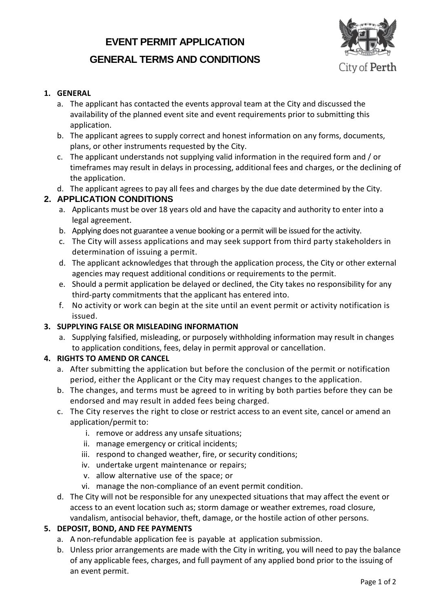# **EVENT PERMIT APPLICATION GENERAL TERMS AND CONDITIONS**



#### **1. GENERAL**

- a. The applicant has contacted the events approval team at the City and discussed the availability of the planned event site and event requirements prior to submitting this application.
- b. The applicant agrees to supply correct and honest information on any forms, documents, plans, or other instruments requested by the City.
- c. The applicant understands not supplying valid information in the required form and / or timeframes may result in delays in processing, additional fees and charges, or the declining of the application.
- d. The applicant agrees to pay all fees and charges by the due date determined by the City.

#### **2. APPLICATION CONDITIONS**

- a. Applicants must be over 18 years old and have the capacity and authority to enter into a legal agreement.
- b. Applying does not guarantee a venue booking or a permit will be issued for the activity.
- c. The City will assess applications and may seek support from third party stakeholders in determination of issuing a permit.
- d. The applicant acknowledges that through the application process, the City or other external agencies may request additional conditions or requirements to the permit.
- e. Should a permit application be delayed or declined, the City takes no responsibility for any third-party commitments that the applicant has entered into.
- f. No activity or work can begin at the site until an event permit or activity notification is issued.

#### **3. SUPPLYING FALSE OR MISLEADING INFORMATION**

a. Supplying falsified, misleading, or purposely withholding information may result in changes to application conditions, fees, delay in permit approval or cancellation.

#### **4. RIGHTS TO AMEND OR CANCEL**

- a. After submitting the application but before the conclusion of the permit or notification period, either the Applicant or the City may request changes to the application.
- b. The changes, and terms must be agreed to in writing by both parties before they can be endorsed and may result in added fees being charged.
- c. The City reserves the right to close or restrict access to an event site, cancel or amend an application/permit to:
	- i. remove or address any unsafe situations;
	- ii. manage emergency or critical incidents;
	- iii. respond to changed weather, fire, or security conditions;
	- iv. undertake urgent maintenance or repairs;
	- v. allow alternative use of the space; or
	- vi. manage the non-compliance of an event permit condition.
- d. The City will not be responsible for any unexpected situations that may affect the event or access to an event location such as; storm damage or weather extremes, road closure, vandalism, antisocial behavior, theft, damage, or the hostile action of other persons.

#### **5. DEPOSIT, BOND, AND FEE PAYMENTS**

- a. A non-refundable application fee is payable at application submission.
- b. Unless prior arrangements are made with the City in writing, you will need to pay the balance of any applicable fees, charges, and full payment of any applied bond prior to the issuing of an event permit.